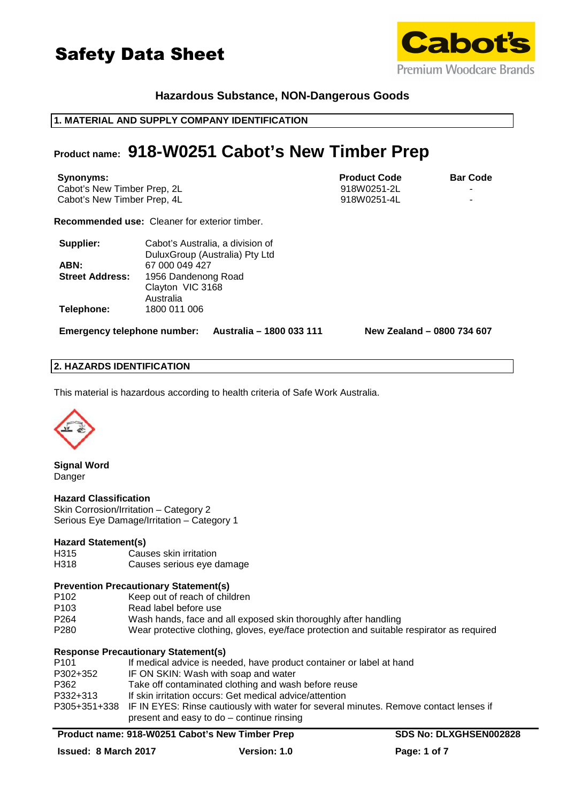



# **Hazardous Substance, NON-Dangerous Goods**

### **1. MATERIAL AND SUPPLY COMPANY IDENTIFICATION**

# **Product name: 918-W0251 Cabot's New Timber Prep**

| Synonyms:                   | <b>Product Code</b> | <b>Bar Code</b> |
|-----------------------------|---------------------|-----------------|
| Cabot's New Timber Prep, 2L | 918W0251-2L         |                 |
| Cabot's New Timber Prep, 4L | 918W0251-4L         |                 |

**Recommended use:** Cleaner for exterior timber.

| Supplier:              | Cabot's Australia, a division of |
|------------------------|----------------------------------|
|                        | DuluxGroup (Australia) Pty Ltd   |
| ABN:                   | 67 000 049 427                   |
| <b>Street Address:</b> | 1956 Dandenong Road              |
|                        | Clayton VIC 3168                 |
|                        | Australia                        |
| Telephone:             | 1800 011 006                     |

**Emergency telephone number: Australia – 1800 033 111 New Zealand – 0800 734 607**

# **2. HAZARDS IDENTIFICATION**

This material is hazardous according to health criteria of Safe Work Australia.



**Signal Word**  Danger

# **Hazard Classification**

Skin Corrosion/Irritation – Category 2 Serious Eye Damage/Irritation – Category 1

### **Hazard Statement(s)**

- H315 Causes skin irritation
- H318 Causes serious eye damage

### **Prevention Precautionary Statement(s)**

- P102 Keep out of reach of children
- P103 Read label before use<br>P264 Wash hands, face and
- Wash hands, face and all exposed skin thoroughly after handling
- P280 Wear protective clothing, gloves, eye/face protection and suitable respirator as required

# **Response Precautionary Statement(s)**

| P <sub>101</sub> | If medical advice is needed, have product container or label at hand                               |
|------------------|----------------------------------------------------------------------------------------------------|
| P302+352         | IF ON SKIN: Wash with soap and water                                                               |
| P362             | Take off contaminated clothing and wash before reuse                                               |
| P332+313         | If skin irritation occurs: Get medical advice/attention                                            |
|                  | P305+351+338 IF IN EYES: Rinse cautiously with water for several minutes. Remove contact lenses if |
|                  | present and easy to do - continue rinsing                                                          |
|                  |                                                                                                    |

#### Product name: 918-W0251 Cabot's New Timber Prep **SDS No: DLXGHSEN002828**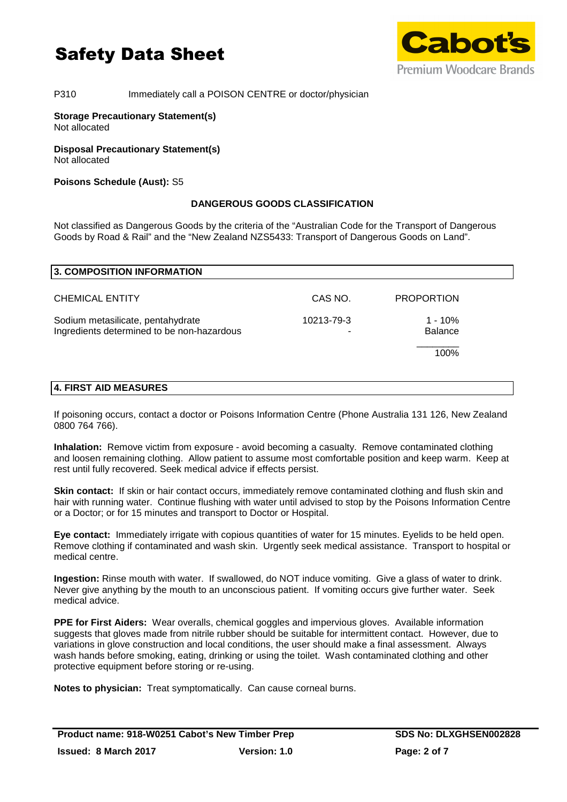

# P310 Immediately call a POISON CENTRE or doctor/physician

### **Storage Precautionary Statement(s)**  Not allocated

**Disposal Precautionary Statement(s)**  Not allocated

# **Poisons Schedule (Aust):** S5

# **DANGEROUS GOODS CLASSIFICATION**

Not classified as Dangerous Goods by the criteria of the "Australian Code for the Transport of Dangerous Goods by Road & Rail" and the "New Zealand NZS5433: Transport of Dangerous Goods on Land".

| CAS NO.<br>10213-79-3 | <b>PROPORTION</b><br>$1 - 10%$ |
|-----------------------|--------------------------------|
|                       |                                |
|                       | <b>Balance</b>                 |
|                       | 100%                           |
|                       |                                |

If poisoning occurs, contact a doctor or Poisons Information Centre (Phone Australia 131 126, New Zealand 0800 764 766).

**Inhalation:** Remove victim from exposure - avoid becoming a casualty. Remove contaminated clothing and loosen remaining clothing. Allow patient to assume most comfortable position and keep warm. Keep at rest until fully recovered. Seek medical advice if effects persist.

**Skin contact:** If skin or hair contact occurs, immediately remove contaminated clothing and flush skin and hair with running water. Continue flushing with water until advised to stop by the Poisons Information Centre or a Doctor; or for 15 minutes and transport to Doctor or Hospital.

**Eye contact:** Immediately irrigate with copious quantities of water for 15 minutes. Eyelids to be held open. Remove clothing if contaminated and wash skin. Urgently seek medical assistance. Transport to hospital or medical centre.

**Ingestion:** Rinse mouth with water. If swallowed, do NOT induce vomiting. Give a glass of water to drink. Never give anything by the mouth to an unconscious patient. If vomiting occurs give further water. Seek medical advice.

**PPE for First Aiders:** Wear overalls, chemical goggles and impervious gloves. Available information suggests that gloves made from nitrile rubber should be suitable for intermittent contact. However, due to variations in glove construction and local conditions, the user should make a final assessment. Always wash hands before smoking, eating, drinking or using the toilet. Wash contaminated clothing and other protective equipment before storing or re-using.

**Notes to physician:** Treat symptomatically. Can cause corneal burns.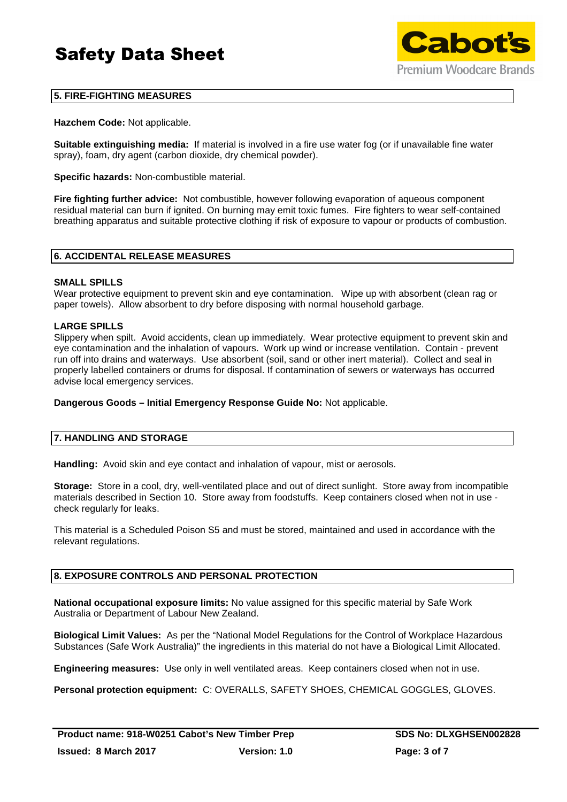

# **5. FIRE-FIGHTING MEASURES**

**Hazchem Code:** Not applicable.

**Suitable extinguishing media:** If material is involved in a fire use water fog (or if unavailable fine water spray), foam, dry agent (carbon dioxide, dry chemical powder).

**Specific hazards:** Non-combustible material.

**Fire fighting further advice:** Not combustible, however following evaporation of aqueous component residual material can burn if ignited. On burning may emit toxic fumes. Fire fighters to wear self-contained breathing apparatus and suitable protective clothing if risk of exposure to vapour or products of combustion.

# **6. ACCIDENTAL RELEASE MEASURES**

### **SMALL SPILLS**

Wear protective equipment to prevent skin and eye contamination. Wipe up with absorbent (clean rag or paper towels). Allow absorbent to dry before disposing with normal household garbage.

### **LARGE SPILLS**

Slippery when spilt. Avoid accidents, clean up immediately. Wear protective equipment to prevent skin and eye contamination and the inhalation of vapours. Work up wind or increase ventilation. Contain - prevent run off into drains and waterways. Use absorbent (soil, sand or other inert material). Collect and seal in properly labelled containers or drums for disposal. If contamination of sewers or waterways has occurred advise local emergency services.

**Dangerous Goods – Initial Emergency Response Guide No:** Not applicable.

### **7. HANDLING AND STORAGE**

**Handling:** Avoid skin and eye contact and inhalation of vapour, mist or aerosols.

**Storage:** Store in a cool, dry, well-ventilated place and out of direct sunlight. Store away from incompatible materials described in Section 10. Store away from foodstuffs. Keep containers closed when not in use check regularly for leaks.

This material is a Scheduled Poison S5 and must be stored, maintained and used in accordance with the relevant regulations.

# **8. EXPOSURE CONTROLS AND PERSONAL PROTECTION**

**National occupational exposure limits:** No value assigned for this specific material by Safe Work Australia or Department of Labour New Zealand.

**Biological Limit Values:** As per the "National Model Regulations for the Control of Workplace Hazardous Substances (Safe Work Australia)" the ingredients in this material do not have a Biological Limit Allocated.

**Engineering measures:** Use only in well ventilated areas. Keep containers closed when not in use.

**Personal protection equipment:** C: OVERALLS, SAFETY SHOES, CHEMICAL GOGGLES, GLOVES.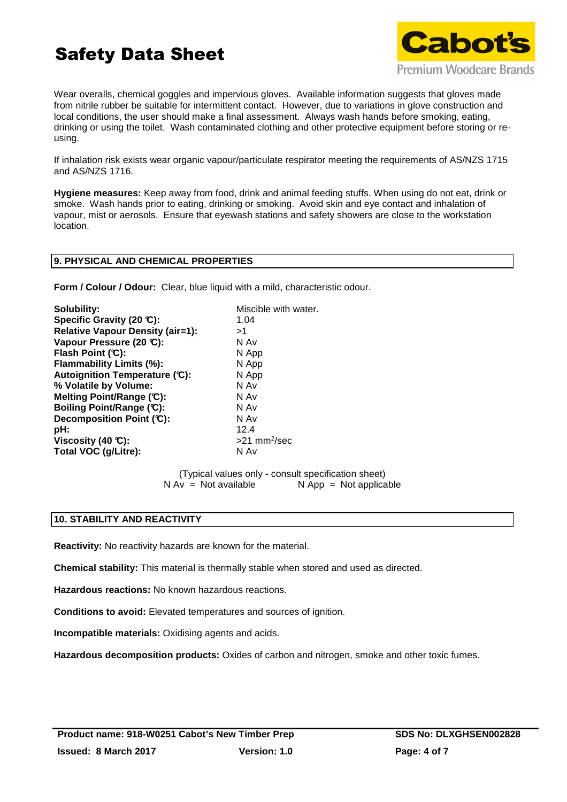

Wear overalls, chemical goggles and impervious gloves. Available information suggests that gloves made from nitrile rubber be suitable for intermittent contact. However, due to variations in glove construction and local conditions, the user should make a final assessment. Always wash hands before smoking, eating, drinking or using the toilet. Wash contaminated clothing and other protective equipment before storing or reusing.

If inhalation risk exists wear organic vapour/particulate respirator meeting the requirements of AS/NZS 1715 and AS/NZS 1716.

**Hygiene measures:** Keep away from food, drink and animal feeding stuffs. When using do not eat, drink or smoke. Wash hands prior to eating, drinking or smoking. Avoid skin and eye contact and inhalation of vapour, mist or aerosols. Ensure that eyewash stations and safety showers are close to the workstation location.

### **9. PHYSICAL AND CHEMICAL PROPERTIES**

**Form / Colour / Odour:** Clear, blue liquid with a mild, characteristic odour.

| Solubility:                             | Miscible with water.       |
|-----------------------------------------|----------------------------|
| Specific Gravity (20 °C):               | 1.04                       |
| <b>Relative Vapour Density (air=1):</b> | >1                         |
| Vapour Pressure (20 °C):                | N Av                       |
| Flash Point (C):                        | N App                      |
| Flammability Limits (%):                | N App                      |
| Autoignition Temperature (C):           | N App                      |
| % Volatile by Volume:                   | N Av                       |
| Melting Point/Range (C):                | N Av                       |
| Boiling Point/Range (C):                | N Av                       |
| Decomposition Point (C):                | N Av                       |
| pH:                                     | 12.4                       |
| Viscosity (40 $\mathbb{C}$ ):           | $>21$ mm <sup>2</sup> /sec |
| Total VOC (g/Litre):                    | N Av                       |

 (Typical values only - consult specification sheet)  $N Av = Not available$   $N App = Not applicable$ 

# **10. STABILITY AND REACTIVITY**

**Reactivity:** No reactivity hazards are known for the material.

**Chemical stability:** This material is thermally stable when stored and used as directed.

**Hazardous reactions:** No known hazardous reactions.

**Conditions to avoid:** Elevated temperatures and sources of ignition.

**Incompatible materials:** Oxidising agents and acids.

**Hazardous decomposition products:** Oxides of carbon and nitrogen, smoke and other toxic fumes.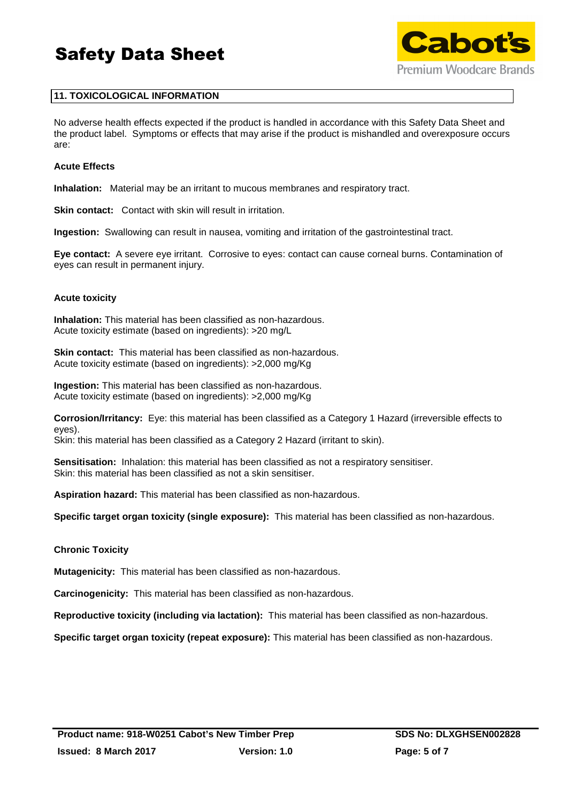



# **11. TOXICOLOGICAL INFORMATION**

No adverse health effects expected if the product is handled in accordance with this Safety Data Sheet and the product label. Symptoms or effects that may arise if the product is mishandled and overexposure occurs are:

### **Acute Effects**

**Inhalation:** Material may be an irritant to mucous membranes and respiratory tract.

**Skin contact:** Contact with skin will result in irritation.

**Ingestion:** Swallowing can result in nausea, vomiting and irritation of the gastrointestinal tract.

**Eye contact:** A severe eye irritant. Corrosive to eyes: contact can cause corneal burns. Contamination of eyes can result in permanent injury.

### **Acute toxicity**

**Inhalation:** This material has been classified as non-hazardous. Acute toxicity estimate (based on ingredients): >20 mg/L

**Skin contact:** This material has been classified as non-hazardous. Acute toxicity estimate (based on ingredients): >2,000 mg/Kg

**Ingestion:** This material has been classified as non-hazardous. Acute toxicity estimate (based on ingredients): >2,000 mg/Kg

**Corrosion/Irritancy:** Eye: this material has been classified as a Category 1 Hazard (irreversible effects to eyes).

Skin: this material has been classified as a Category 2 Hazard (irritant to skin).

**Sensitisation:** Inhalation: this material has been classified as not a respiratory sensitiser. Skin: this material has been classified as not a skin sensitiser.

**Aspiration hazard:** This material has been classified as non-hazardous.

**Specific target organ toxicity (single exposure):** This material has been classified as non-hazardous.

# **Chronic Toxicity**

**Mutagenicity:** This material has been classified as non-hazardous.

**Carcinogenicity:** This material has been classified as non-hazardous.

**Reproductive toxicity (including via lactation):** This material has been classified as non-hazardous.

**Specific target organ toxicity (repeat exposure):** This material has been classified as non-hazardous.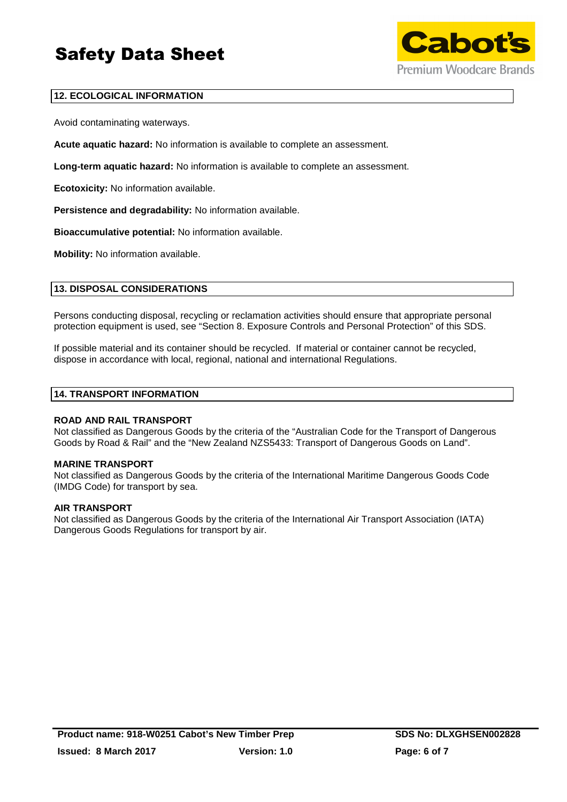

# **12. ECOLOGICAL INFORMATION**

Avoid contaminating waterways.

**Acute aquatic hazard:** No information is available to complete an assessment.

**Long-term aquatic hazard:** No information is available to complete an assessment.

**Ecotoxicity:** No information available.

**Persistence and degradability:** No information available.

**Bioaccumulative potential:** No information available.

**Mobility:** No information available.

# **13. DISPOSAL CONSIDERATIONS**

Persons conducting disposal, recycling or reclamation activities should ensure that appropriate personal protection equipment is used, see "Section 8. Exposure Controls and Personal Protection" of this SDS.

If possible material and its container should be recycled. If material or container cannot be recycled, dispose in accordance with local, regional, national and international Regulations.

### **14. TRANSPORT INFORMATION**

### **ROAD AND RAIL TRANSPORT**

Not classified as Dangerous Goods by the criteria of the "Australian Code for the Transport of Dangerous Goods by Road & Rail" and the "New Zealand NZS5433: Transport of Dangerous Goods on Land".

### **MARINE TRANSPORT**

Not classified as Dangerous Goods by the criteria of the International Maritime Dangerous Goods Code (IMDG Code) for transport by sea.

### **AIR TRANSPORT**

Not classified as Dangerous Goods by the criteria of the International Air Transport Association (IATA) Dangerous Goods Regulations for transport by air.